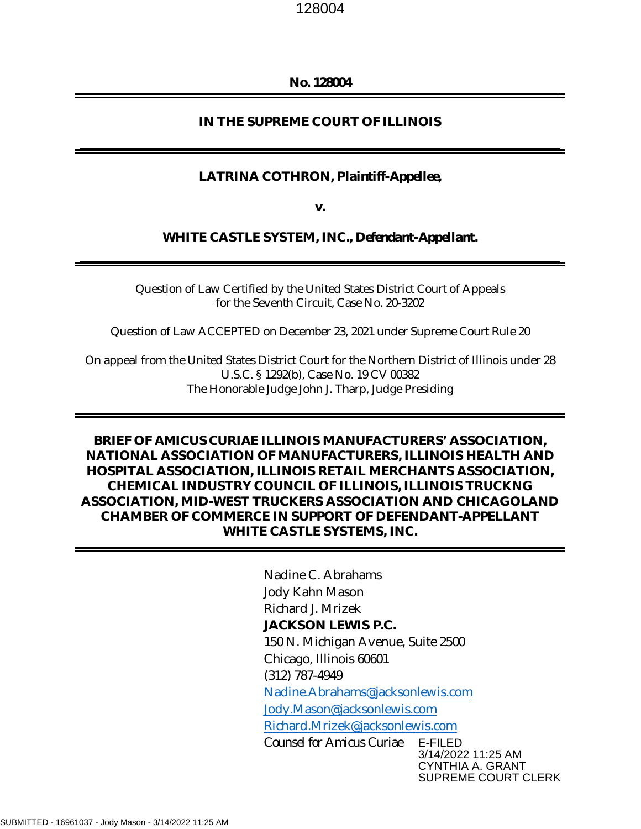#### **No. 128004**

#### **IN THE SUPREME COURT OF ILLINOIS**

#### **LATRINA COTHRON,** *Plaintiff-Appellee***,**

**v.** 

#### **WHITE CASTLE SYSTEM, INC.,** *Defendant-Appellant***.**

Question of Law Certified by the United States District Court of Appeals for the Seventh Circuit, Case No. 20-3202

Question of Law ACCEPTED on December 23, 2021 under Supreme Court Rule 20

On appeal from the United States District Court for the Northern District of Illinois under 28 U.S.C. § 1292(b), Case No. 19 CV 00382 The Honorable Judge John J. Tharp, Judge Presiding

# **BRIEF OF** *AMICUS CURIAE* **ILLINOIS MANUFACTURERS' ASSOCIATION, NATIONAL ASSOCIATION OF MANUFACTURERS, ILLINOIS HEALTH AND HOSPITAL ASSOCIATION, ILLINOIS RETAIL MERCHANTS ASSOCIATION, CHEMICAL INDUSTRY COUNCIL OF ILLINOIS, ILLINOIS TRUCKNG ASSOCIATION, MID-WEST TRUCKERS ASSOCIATION AND CHICAGOLAND CHAMBER OF COMMERCE IN SUPPORT OF DEFENDANT-APPELLANT WHITE CASTLE SYSTEMS, INC.**

Nadine C. Abrahams Jody Kahn Mason Richard J. Mrizek **JACKSON LEWIS P.C.**  150 N. Michigan Avenue, Suite 2500 Chicago, Illinois 60601 (312) 787-4949 [Nadine.Abrahams@jacksonlewis.com](mailto:Nadine.Abrahams@jacksonlewis.com) [Jody.Mason@jacksonlewis.com](mailto:Jody.Mason@jacksonlewis.com) [Richard.Mrizek@jacksonlewis.com](mailto:Richard.Mrizek@jacksonlewis.com) *Counsel for Amicus Curiae* E-FILED 3/14/2022 11:25 AM CYNTHIA A. GRANT

SUPREME COURT CLERK

SUBMITTED - 16961037 - Jody Mason - 3/14/2022 11:25 AM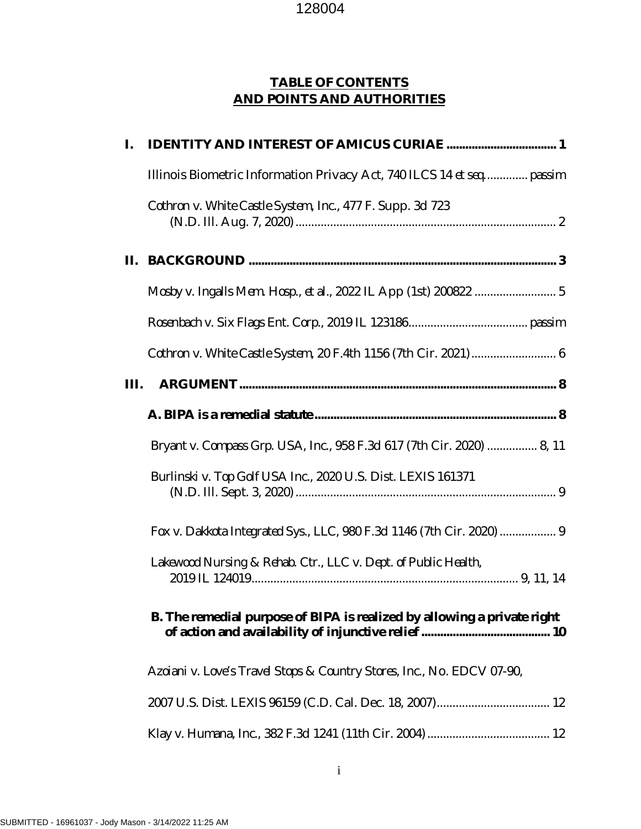# **TABLE OF CONTENTS AND POINTS AND AUTHORITIES**

| I.   |                                                                         |  |  |  |
|------|-------------------------------------------------------------------------|--|--|--|
|      | Illinois Biometric Information Privacy Act, 740 ILCS 14 et seq passim   |  |  |  |
|      | Cothron v. White Castle System, Inc., 477 F. Supp. 3d 723               |  |  |  |
|      |                                                                         |  |  |  |
|      |                                                                         |  |  |  |
|      |                                                                         |  |  |  |
|      |                                                                         |  |  |  |
| III. |                                                                         |  |  |  |
|      |                                                                         |  |  |  |
|      | Bryant v. Compass Grp. USA, Inc., 958 F.3d 617 (7th Cir. 2020)  8, 11   |  |  |  |
|      | Burlinski v. Top Golf USA Inc., 2020 U.S. Dist. LEXIS 161371            |  |  |  |
|      | Fox v. Dakkota Integrated Sys., LLC, 980 F.3d 1146 (7th Cir. 2020)  9   |  |  |  |
|      | Lakewood Nursing & Rehab. Ctr., LLC v. Dept. of Public Health,          |  |  |  |
|      | B. The remedial purpose of BIPA is realized by allowing a private right |  |  |  |
|      | Azoiani v. Love's Travel Stops & Country Stores, Inc., No. EDCV 07-90,  |  |  |  |
|      |                                                                         |  |  |  |
|      |                                                                         |  |  |  |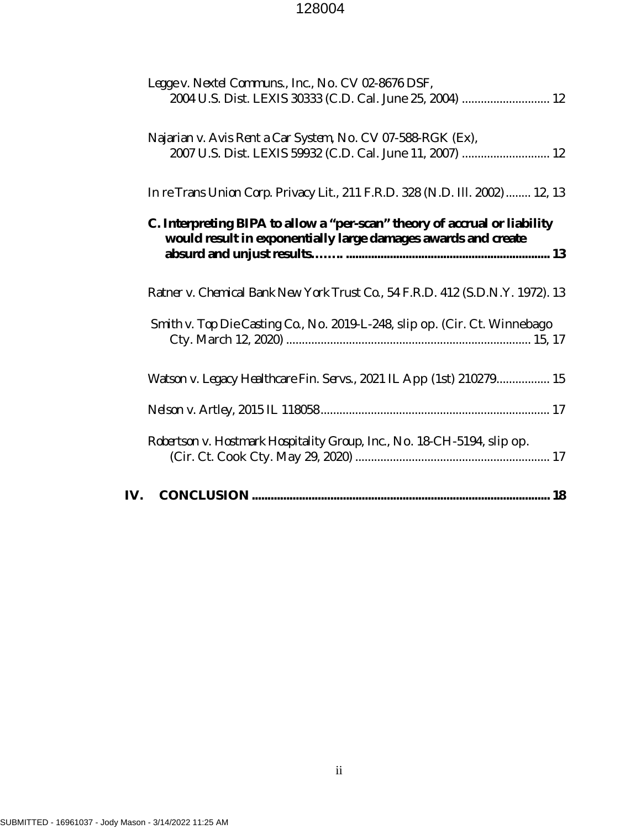|     | Legge v. Nextel Communs., Inc., No. CV 02-8676 DSF,                                                                                        |
|-----|--------------------------------------------------------------------------------------------------------------------------------------------|
|     | 2004 U.S. Dist. LEXIS 30333 (C.D. Cal. June 25, 2004)  12                                                                                  |
|     | Najarian v. Avis Rent a Car System, No. CV 07-588-RGK (Ex),                                                                                |
|     | 2007 U.S. Dist. LEXIS 59932 (C.D. Cal. June 11, 2007)  12                                                                                  |
|     | In re Trans Union Corp. Privacy Lit., 211 F.R.D. 328 (N.D. Ill. 2002)  12, 13                                                              |
|     | C. Interpreting BIPA to allow a "per-scan" theory of accrual or liability<br>would result in exponentially large damages awards and create |
|     |                                                                                                                                            |
|     | Ratner v. Chemical Bank New York Trust Co., 54 F.R.D. 412 (S.D.N.Y. 1972). 13                                                              |
|     | Smith v. Top Die Casting Co., No. 2019-L-248, slip op. (Cir. Ct. Winnebago                                                                 |
|     |                                                                                                                                            |
|     | Watson v. Legacy Healthcare Fin. Servs., 2021 IL App (1st) 210279 15                                                                       |
|     |                                                                                                                                            |
|     | Robertson v. Hostmark Hospitality Group, Inc., No. 18-CH-5194, slip op.                                                                    |
|     |                                                                                                                                            |
| IV. |                                                                                                                                            |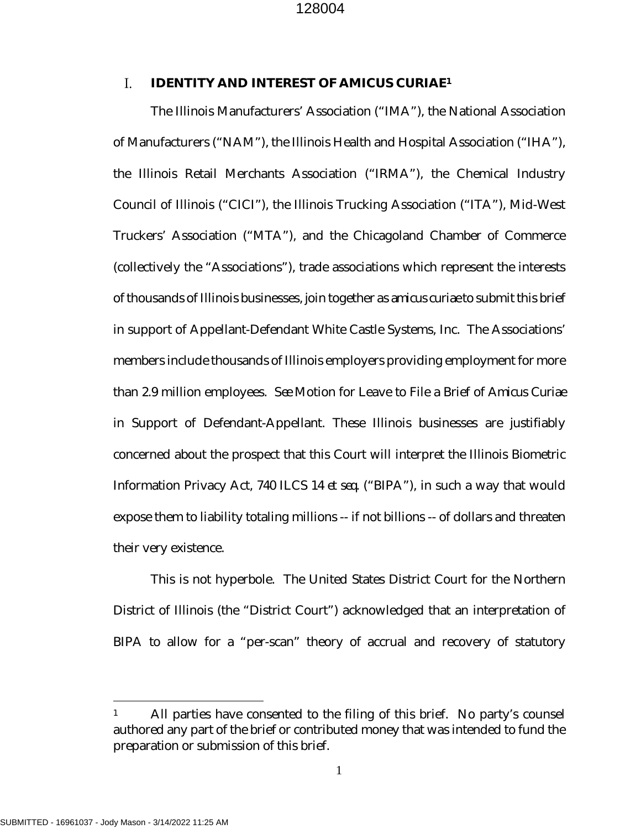#### <span id="page-3-0"></span> $\mathbf{L}$ **IDENTITY AND INTEREST OF AMICUS CURIAE[1](#page-3-3)**

<span id="page-3-1"></span>The Illinois Manufacturers' Association ("IMA"), the National Association of Manufacturers ("NAM"), the Illinois Health and Hospital Association ("IHA"), the Illinois Retail Merchants Association ("IRMA"), the Chemical Industry Council of Illinois ("CICI"), the Illinois Trucking Association ("ITA"), Mid-West Truckers' Association ("MTA"), and the Chicagoland Chamber of Commerce (collectively the "Associations"), trade associations which represent the interests of thousands of Illinois businesses, join together as *amicus curiae* to submit this brief in support of Appellant-Defendant White Castle Systems, Inc. The Associations' members include thousands of Illinois employers providing employment for more than 2.9 million employees. *See* Motion for Leave to File a Brief of *Amicus Curiae* in Support of Defendant-Appellant. These Illinois businesses are justifiably concerned about the prospect that this Court will interpret the Illinois Biometric Information Privacy Act, 740 ILCS 14 *et seq.* ("BIPA"), in such a way that would expose them to liability totaling millions -- if not billions -- of dollars and threaten their very existence.

<span id="page-3-2"></span>This is not hyperbole. The United States District Court for the Northern District of Illinois (the "District Court") acknowledged that an interpretation of BIPA to allow for a "per-scan" theory of accrual and recovery of statutory

<span id="page-3-3"></span><sup>&</sup>lt;sup>1</sup> All parties have consented to the filing of this brief. No party's counsel authored any part of the brief or contributed money that was intended to fund the preparation or submission of this brief.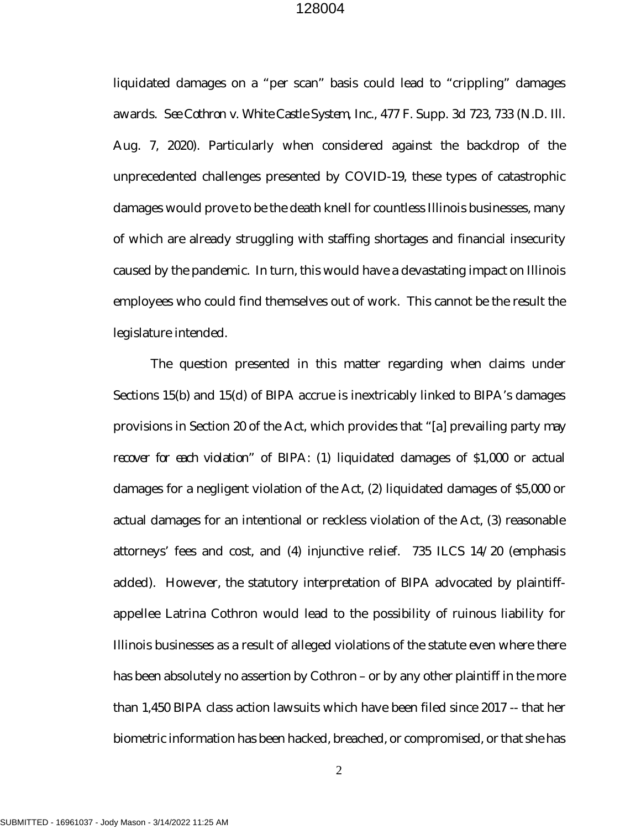liquidated damages on a "per scan" basis could lead to "crippling" damages awards. *See Cothron v. White Castle System, Inc.,* 477 F. Supp. 3d 723, 733 (N.D. Ill. Aug. 7, 2020). Particularly when considered against the backdrop of the unprecedented challenges presented by COVID-19, these types of catastrophic damages would prove to be the death knell for countless Illinois businesses, many of which are already struggling with staffing shortages and financial insecurity caused by the pandemic. In turn, this would have a devastating impact on Illinois employees who could find themselves out of work. This cannot be the result the legislature intended.

The question presented in this matter regarding when claims under Sections 15(b) and 15(d) of BIPA accrue is inextricably linked to BIPA's damages provisions in Section 20 of the Act, which provides that "[a] prevailing party *may recover for each violation*" of BIPA: (1) liquidated damages of \$1,000 or actual damages for a negligent violation of the Act, (2) liquidated damages of \$5,000 or actual damages for an intentional or reckless violation of the Act, (3) reasonable attorneys' fees and cost, and (4) injunctive relief. 735 ILCS 14/20 (emphasis added). However, the statutory interpretation of BIPA advocated by plaintiffappellee Latrina Cothron would lead to the possibility of ruinous liability for Illinois businesses as a result of alleged violations of the statute even where there has been absolutely no assertion by Cothron – or by any other plaintiff in the more than 1,450 BIPA class action lawsuits which have been filed since 2017 -- that her biometric information has been hacked, breached, or compromised, or that she has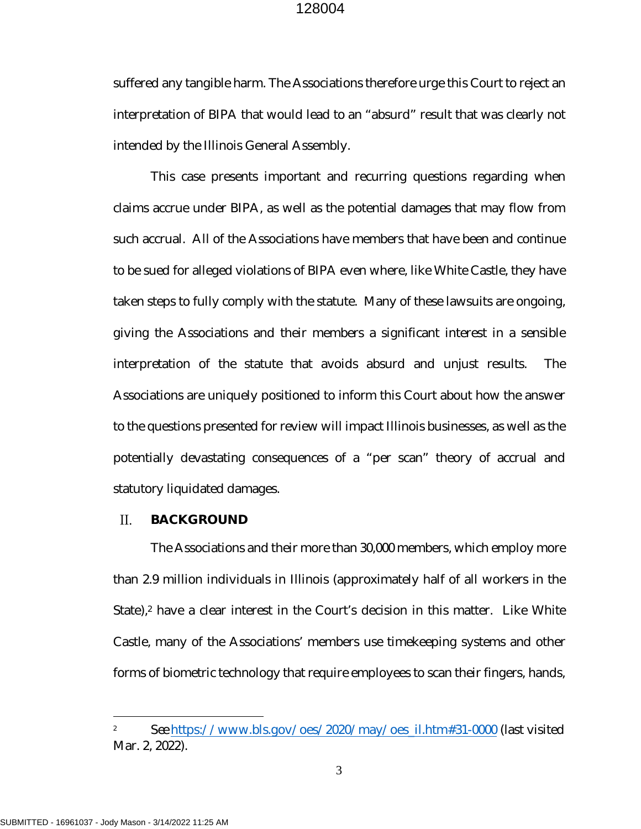suffered any tangible harm. The Associations therefore urge this Court to reject an interpretation of BIPA that would lead to an "absurd" result that was clearly not intended by the Illinois General Assembly.

This case presents important and recurring questions regarding when claims accrue under BIPA, as well as the potential damages that may flow from such accrual. All of the Associations have members that have been and continue to be sued for alleged violations of BIPA even where, like White Castle, they have taken steps to fully comply with the statute. Many of these lawsuits are ongoing, giving the Associations and their members a significant interest in a sensible interpretation of the statute that avoids absurd and unjust results. The Associations are uniquely positioned to inform this Court about how the answer to the questions presented for review will impact Illinois businesses, as well as the potentially devastating consequences of a "per scan" theory of accrual and statutory liquidated damages.

#### <span id="page-5-0"></span> $\Pi$ . **BACKGROUND**

The Associations and their more than 30,000 members, which employ more than 2.9 million individuals in Illinois (approximately half of all workers in the State),<sup>[2](#page-5-1)</sup> have a clear interest in the Court's decision in this matter. Like White Castle, many of the Associations' members use timekeeping systems and other forms of biometric technology that require employees to scan their fingers, hands,

<span id="page-5-1"></span><sup>2</sup> *See* [https://www.bls.gov/oes/2020/may/oes\\_il.htm#31-0000](https://www.bls.gov/oes/2020/may/oes_il.htm#31-0000) (last visited Mar. 2, 2022).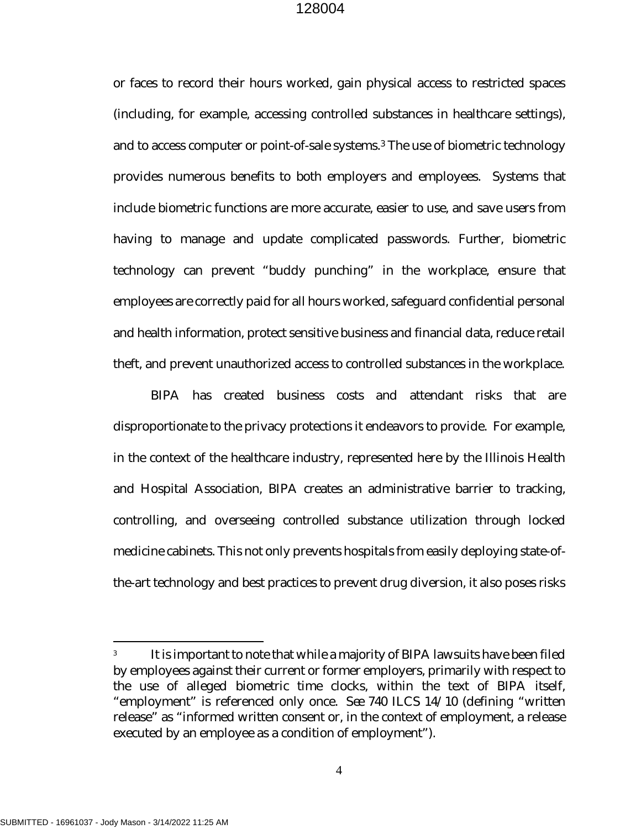or faces to record their hours worked, gain physical access to restricted spaces (including, for example, accessing controlled substances in healthcare settings), and to access computer or point-of-sale systems.[3](#page-6-0) The use of biometric technology provides numerous benefits to both employers and employees. Systems that include biometric functions are more accurate, easier to use, and save users from having to manage and update complicated passwords. Further, biometric technology can prevent "buddy punching" in the workplace, ensure that employees are correctly paid for all hours worked, safeguard confidential personal and health information, protect sensitive business and financial data, reduce retail theft, and prevent unauthorized access to controlled substances in the workplace.

BIPA has created business costs and attendant risks that are disproportionate to the privacy protections it endeavors to provide. For example, in the context of the healthcare industry, represented here by the Illinois Health and Hospital Association, BIPA creates an administrative barrier to tracking, controlling, and overseeing controlled substance utilization through locked medicine cabinets. This not only prevents hospitals from easily deploying state-ofthe-art technology and best practices to prevent drug diversion, it also poses risks

<span id="page-6-0"></span><sup>3</sup> It is important to note that while a majority of BIPA lawsuits have been filed by employees against their current or former employers, primarily with respect to the use of alleged biometric time clocks, within the text of BIPA itself, "employment" is referenced only once. *See* 740 ILCS 14/10 (defining "written release" as "informed written consent or, in the context of employment, a release executed by an employee as a condition of employment").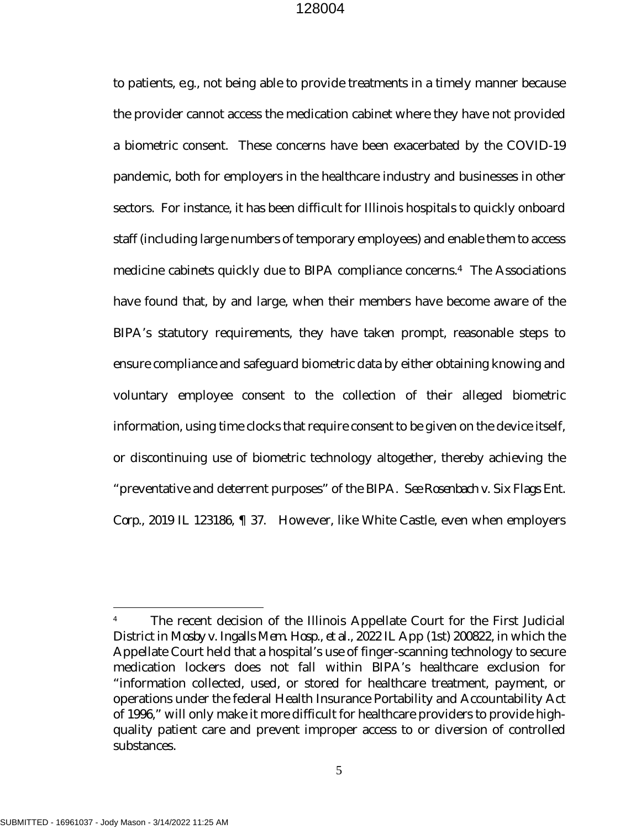to patients, *e.g.,* not being able to provide treatments in a timely manner because the provider cannot access the medication cabinet where they have not provided a biometric consent. These concerns have been exacerbated by the COVID-19 pandemic, both for employers in the healthcare industry and businesses in other sectors. For instance, it has been difficult for Illinois hospitals to quickly onboard staff (including large numbers of temporary employees) and enable them to access medicine cabinets quickly due to BIPA compliance concerns.[4](#page-7-2) The Associations have found that, by and large, when their members have become aware of the BIPA's statutory requirements, they have taken prompt, reasonable steps to ensure compliance and safeguard biometric data by either obtaining knowing and voluntary employee consent to the collection of their alleged biometric information, using time clocks that require consent to be given on the device itself, or discontinuing use of biometric technology altogether, thereby achieving the "preventative and deterrent purposes" of the BIPA. *See Rosenbach v. Six Flags Ent. Corp.,* 2019 IL 123186, ¶ 37. However, like White Castle, even when employers

<span id="page-7-2"></span><span id="page-7-1"></span><span id="page-7-0"></span><sup>&</sup>lt;sup>4</sup> The recent decision of the Illinois Appellate Court for the First Judicial District in *Mosby v. Ingalls Mem. Hosp., et al.,* 2022 IL App (1st) 200822, in which the Appellate Court held that a hospital's use of finger-scanning technology to secure medication lockers does not fall within BIPA's healthcare exclusion for "information collected, used, or stored for healthcare treatment, payment, or operations under the federal Health Insurance Portability and Accountability Act of 1996," will only make it more difficult for healthcare providers to provide highquality patient care and prevent improper access to or diversion of controlled substances.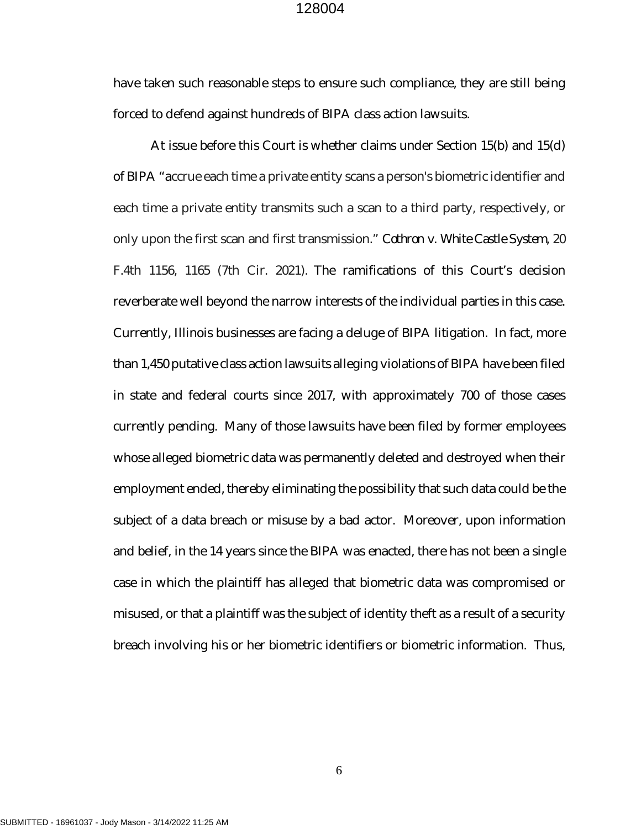have taken such reasonable steps to ensure such compliance, they are still being forced to defend against hundreds of BIPA class action lawsuits.

<span id="page-8-0"></span>At issue before this Court is whether claims under Section 15(b) and 15(d) of BIPA "accrue each time a private entity scans a person's biometric identifier and each time a private entity transmits such a scan to a third party, respectively, or only upon the first scan and first transmission." *Cothron v. White Castle System,* 20 F.4th 1156, 1165 (7th Cir. 2021). The ramifications of this Court's decision reverberate well beyond the narrow interests of the individual parties in this case. Currently, Illinois businesses are facing a deluge of BIPA litigation. In fact, more than 1,450 putative class action lawsuits alleging violations of BIPA have been filed in state and federal courts since 2017, with approximately 700 of those cases currently pending. Many of those lawsuits have been filed by former employees whose alleged biometric data was permanently deleted and destroyed when their employment ended, thereby eliminating the possibility that such data could be the subject of a data breach or misuse by a bad actor. Moreover, upon information and belief, in the 14 years since the BIPA was enacted, there has not been a single case in which the plaintiff has alleged that biometric data was compromised or misused, or that a plaintiff was the subject of identity theft as a result of a security breach involving his or her biometric identifiers or biometric information. Thus,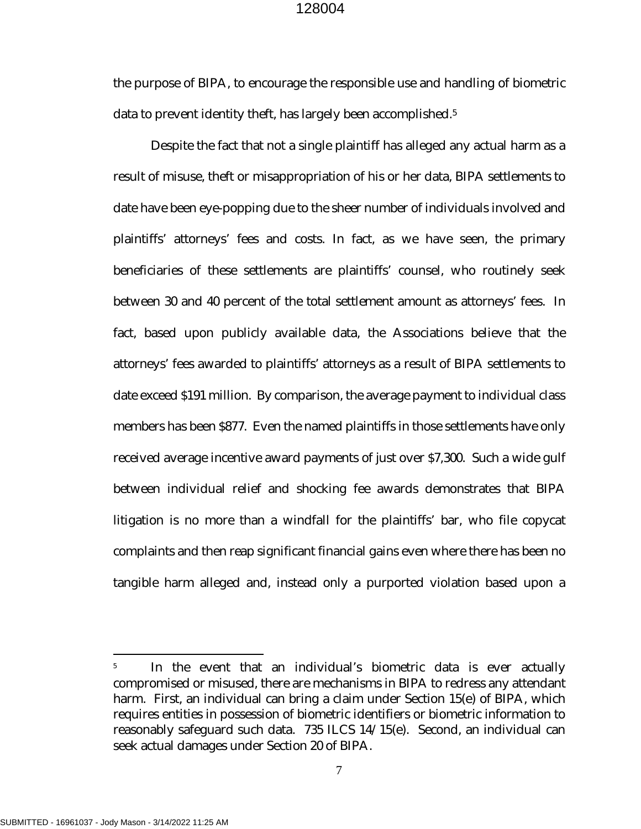the purpose of BIPA, to encourage the responsible use and handling of biometric data to prevent identity theft, has largely been accomplished.[5](#page-9-0)

Despite the fact that not a single plaintiff has alleged any actual harm as a result of misuse, theft or misappropriation of his or her data, BIPA settlements to date have been eye-popping due to the sheer number of individuals involved and plaintiffs' attorneys' fees and costs. In fact, as we have seen, the primary beneficiaries of these settlements are plaintiffs' counsel, who routinely seek between 30 and 40 percent of the total settlement amount as attorneys' fees. In fact, based upon publicly available data, the Associations believe that the attorneys' fees awarded to plaintiffs' attorneys as a result of BIPA settlements to date exceed \$191 million. By comparison, the average payment to individual class members has been \$877. Even the named plaintiffs in those settlements have only received average incentive award payments of just over \$7,300. Such a wide gulf between individual relief and shocking fee awards demonstrates that BIPA litigation is no more than a windfall for the plaintiffs' bar, who file copycat complaints and then reap significant financial gains even where there has been no tangible harm alleged and, instead only a purported violation based upon a

<span id="page-9-0"></span><sup>5</sup> In the event that an individual's biometric data is ever actually compromised or misused, there are mechanisms in BIPA to redress any attendant harm. First, an individual can bring a claim under Section 15(e) of BIPA, which requires entities in possession of biometric identifiers or biometric information to reasonably safeguard such data. 735 ILCS 14/15(e). Second, an individual can seek actual damages under Section 20 of BIPA.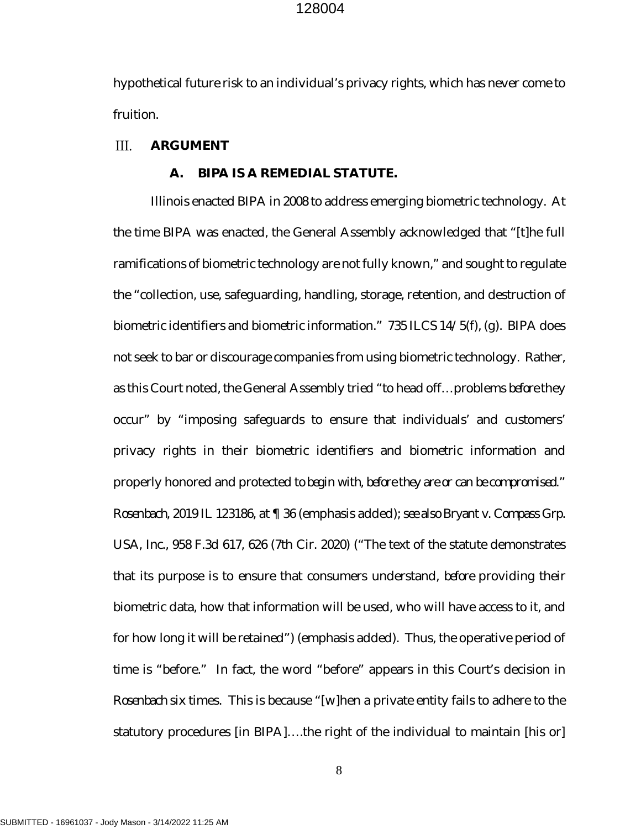hypothetical future risk to an individual's privacy rights, which has never come to fruition.

#### <span id="page-10-0"></span> $III.$ **ARGUMENT**

#### <span id="page-10-2"></span><span id="page-10-1"></span>**A. BIPA IS A REMEDIAL STATUTE.**

Illinois enacted BIPA in 2008 to address emerging biometric technology. At the time BIPA was enacted, the General Assembly acknowledged that "[t]he full ramifications of biometric technology are not fully known," and sought to regulate the "collection, use, safeguarding, handling, storage, retention, and destruction of biometric identifiers and biometric information." 735 ILCS 14/5(f), (g). BIPA does not seek to bar or discourage companies from using biometric technology. Rather, as this Court noted, the General Assembly tried "to head off…problems *before* they occur" by "imposing safeguards to ensure that individuals' and customers' privacy rights in their biometric identifiers and biometric information and properly honored and protected *to begin with, before they are or can be compromised." Rosenbach,* 2019 IL 123186, at ¶ 36 (emphasis added); *see also Bryant v. Compass Grp. USA, Inc.,* 958 F.3d 617, 626 (7th Cir. 2020) ("The text of the statute demonstrates that its purpose is to ensure that consumers understand, *before* providing their biometric data, how that information will be used, who will have access to it, and for how long it will be retained") (emphasis added). Thus, the operative period of time is "before." In fact, the word "before" appears in this Court's decision in *Rosenbach* six times. This is because "[w]hen a private entity fails to adhere to the statutory procedures [in BIPA]….the right of the individual to maintain [his or]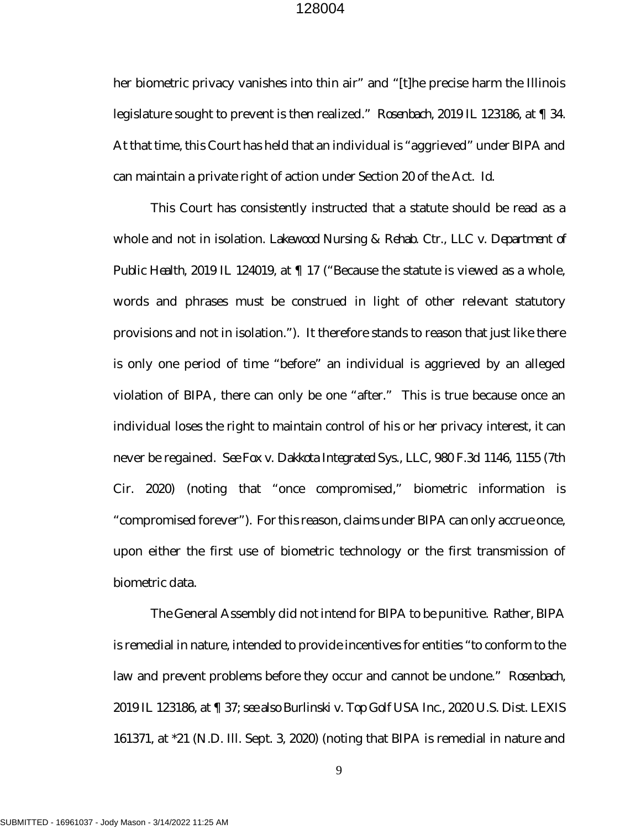her biometric privacy vanishes into thin air" and "[t]he precise harm the Illinois legislature sought to prevent is then realized." *Rosenbach,* 2019 IL 123186, at ¶ 34. At that time, this Court has held that an individual is "aggrieved" under BIPA and can maintain a private right of action under Section 20 of the Act. *Id.*

<span id="page-11-2"></span>This Court has consistently instructed that a statute should be read as a whole and not in isolation. *Lakewood Nursing & Rehab. Ctr., LLC v. Department of Public Health*, 2019 IL 124019, at ¶ 17 ("Because the statute is viewed as a whole, words and phrases must be construed in light of other relevant statutory provisions and not in isolation."). It therefore stands to reason that just like there is only one period of time "before" an individual is aggrieved by an alleged violation of BIPA, there can only be one "after." This is true because once an individual loses the right to maintain control of his or her privacy interest, it can never be regained. *See Fox v. Dakkota Integrated Sys., LLC,* 980 F.3d 1146, 1155 (7th Cir. 2020) (noting that "once compromised," biometric information is "compromised forever"). For this reason, claims under BIPA can only accrue once, upon either the first use of biometric technology or the first transmission of biometric data.

<span id="page-11-1"></span><span id="page-11-0"></span>The General Assembly did not intend for BIPA to be punitive. Rather, BIPA is remedial in nature, intended to provide incentives for entities "to conform to the law and prevent problems before they occur and cannot be undone." *Rosenbach,*  2019 IL 123186, at ¶ 37; *see also Burlinski v. Top Golf USA Inc.,* 2020 U.S. Dist. LEXIS 161371, at \*21 (N.D. Ill. Sept. 3, 2020) (noting that BIPA is remedial in nature and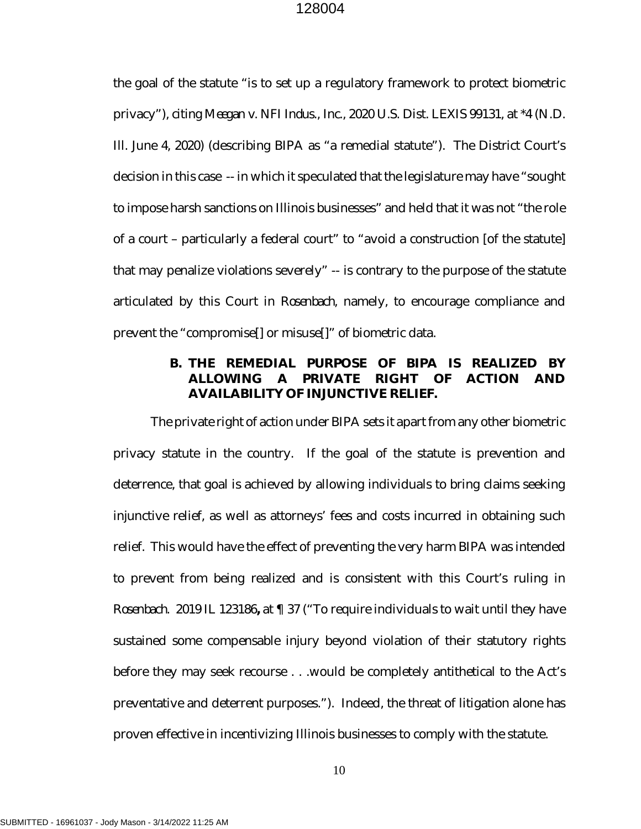the goal of the statute "is to set up a regulatory framework to protect biometric privacy"), *citing Meegan v. NFI Indus., Inc.,* 2020 U.S. Dist. LEXIS 99131, at \*4 (N.D. Ill. June 4, 2020) (describing BIPA as "a remedial statute"). The District Court's decision in this case -- in which it speculated that the legislature may have "sought to impose harsh sanctions on Illinois businesses" and held that it was not "the role of a court – particularly a federal court" to "avoid a construction [of the statute] that may penalize violations severely" -- is contrary to the purpose of the statute articulated by this Court in *Rosenbach,* namely, to encourage compliance and prevent the "compromise[] or misuse[]" of biometric data*.* 

# <span id="page-12-0"></span>**B. THE REMEDIAL PURPOSE OF BIPA IS REALIZED BY ALLOWING A PRIVATE RIGHT OF ACTION AND AVAILABILITY OF INJUNCTIVE RELIEF.**

The private right of action under BIPA sets it apart from any other biometric privacy statute in the country. If the goal of the statute is prevention and deterrence, that goal is achieved by allowing individuals to bring claims seeking injunctive relief, as well as attorneys' fees and costs incurred in obtaining such relief. This would have the effect of preventing the very harm BIPA was intended to prevent from being realized and is consistent with this Court's ruling in *Rosenbach.* 2019 IL 123186**,** at ¶ 37 ("To require individuals to wait until they have sustained some compensable injury beyond violation of their statutory rights before they may seek recourse . . .would be completely antithetical to the Act's preventative and deterrent purposes."). Indeed, the threat of litigation alone has proven effective in incentivizing Illinois businesses to comply with the statute.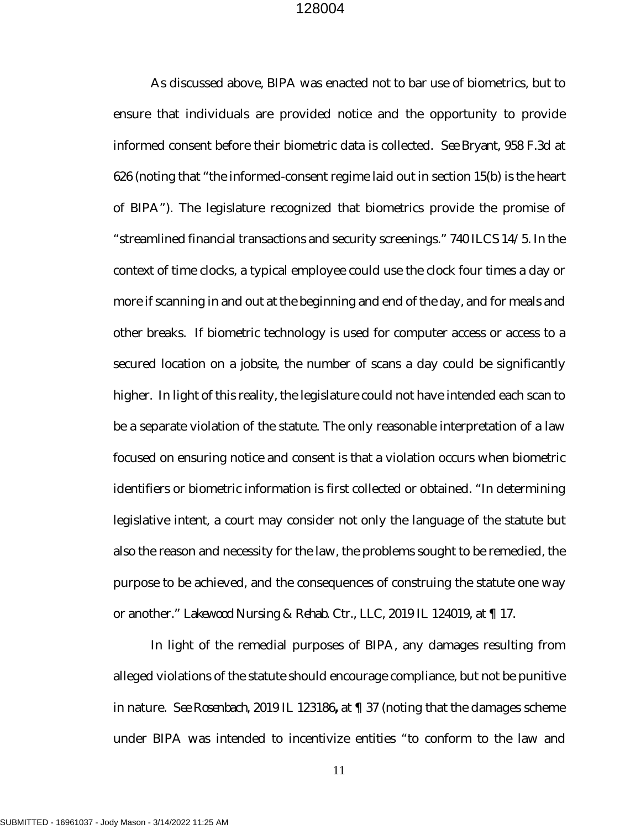<span id="page-13-0"></span>As discussed above, BIPA was enacted not to bar use of biometrics, but to ensure that individuals are provided notice and the opportunity to provide informed consent before their biometric data is collected. *See Bryant,* 958 F.3d at 626 (noting that "the informed-consent regime laid out in section 15(b) is the heart of BIPA"). The legislature recognized that biometrics provide the promise of "streamlined financial transactions and security screenings." 740 ILCS 14/5. In the context of time clocks, a typical employee could use the clock four times a day or more if scanning in and out at the beginning and end of the day, and for meals and other breaks. If biometric technology is used for computer access or access to a secured location on a jobsite, the number of scans a day could be significantly higher. In light of this reality, the legislature could not have intended each scan to be a separate violation of the statute. The only reasonable interpretation of a law focused on ensuring notice and consent is that a violation occurs when biometric identifiers or biometric information is first collected or obtained. "In determining legislative intent, a court may consider not only the language of the statute but also the reason and necessity for the law, the problems sought to be remedied, the purpose to be achieved, and the consequences of construing the statute one way or another." *Lakewood Nursing & Rehab. Ctr., LLC*, 2019 IL 124019, at ¶ 17.

<span id="page-13-1"></span>In light of the remedial purposes of BIPA, any damages resulting from alleged violations of the statute should encourage compliance, but not be punitive in nature. *See Rosenbach,* 2019 IL 123186**,** at ¶ 37 (noting that the damages scheme under BIPA was intended to incentivize entities "to conform to the law and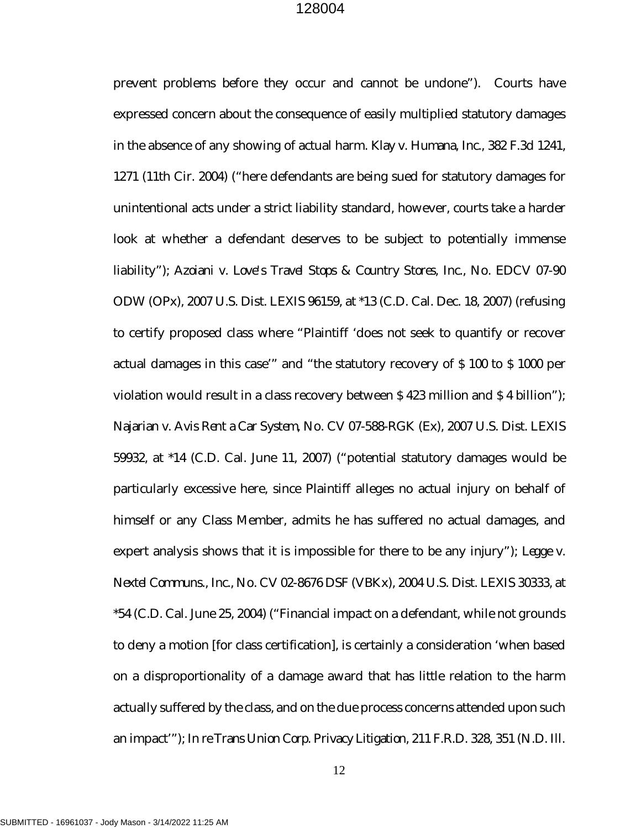<span id="page-14-4"></span><span id="page-14-3"></span><span id="page-14-2"></span><span id="page-14-1"></span><span id="page-14-0"></span>prevent problems before they occur and cannot be undone"). Courts have expressed concern about the consequence of easily multiplied statutory damages in the absence of any showing of actual harm. *Klay v. Humana, Inc.*, 382 F.3d 1241, 1271 (11th Cir. 2004) ("here defendants are being sued for statutory damages for unintentional acts under a strict liability standard, however, courts take a harder look at whether a defendant deserves to be subject to potentially immense liability"); *Azoiani v. Love's Travel Stops & Country Stores, Inc.*, No. EDCV 07-90 ODW (OPx), 2007 U.S. Dist. LEXIS 96159, at \*13 (C.D. Cal. Dec. 18, 2007) (refusing to certify proposed class where "Plaintiff 'does not seek to quantify or recover actual damages in this case'" and "the statutory recovery of \$ 100 to \$ 1000 per violation would result in a class recovery between \$ 423 million and \$ 4 billion"); *Najarian v. Avis Rent a Car System*, No. CV 07-588-RGK (Ex), 2007 U.S. Dist. LEXIS 59932, at \*14 (C.D. Cal. June 11, 2007) ("potential statutory damages would be particularly excessive here, since Plaintiff alleges no actual injury on behalf of himself or any Class Member, admits he has suffered no actual damages, and expert analysis shows that it is impossible for there to be any injury"); *Legge v. Nextel Communs., Inc.*, No. CV 02-8676 DSF (VBKx), 2004 U.S. Dist. LEXIS 30333, at \*54 (C.D. Cal. June 25, 2004) ("Financial impact on a defendant, while not grounds to deny a motion [for class certification], is certainly a consideration 'when based on a disproportionality of a damage award that has little relation to the harm actually suffered by the class, and on the due process concerns attended upon such an impact'"); *In re Trans Union Corp. Privacy Litigation*, 211 F.R.D. 328, 351 (N.D. Ill.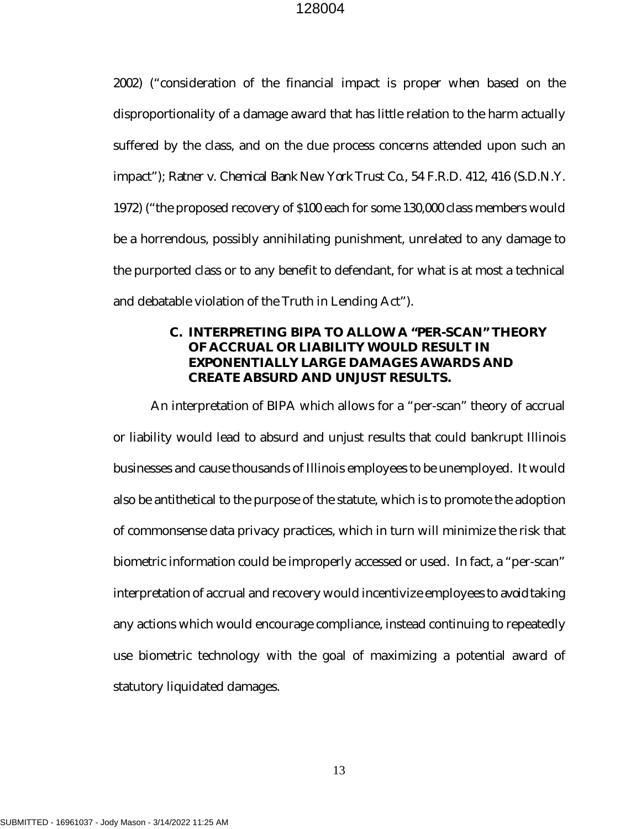<span id="page-15-1"></span>2002) ("consideration of the financial impact is proper when based on the disproportionality of a damage award that has little relation to the harm actually suffered by the class, and on the due process concerns attended upon such an impact"); *Ratner v. Chemical Bank New York Trust Co.*, 54 F.R.D. 412, 416 (S.D.N.Y. 1972) ("the proposed recovery of \$100 each for some 130,000 class members would be a horrendous, possibly annihilating punishment, unrelated to any damage to the purported class or to any benefit to defendant, for what is at most a technical and debatable violation of the Truth in Lending Act").

# <span id="page-15-0"></span>**C. INTERPRETING BIPA TO ALLOW A "PER-SCAN" THEORY OF ACCRUAL OR LIABILITY WOULD RESULT IN EXPONENTIALLY LARGE DAMAGES AWARDS AND CREATE ABSURD AND UNJUST RESULTS.**

An interpretation of BIPA which allows for a "per-scan" theory of accrual or liability would lead to absurd and unjust results that could bankrupt Illinois businesses and cause thousands of Illinois employees to be unemployed. It would also be antithetical to the purpose of the statute, which is to promote the adoption of commonsense data privacy practices, which in turn will minimize the risk that biometric information could be improperly accessed or used. In fact, a "per-scan" interpretation of accrual and recovery would incentivize employees to *avoid* taking any actions which would encourage compliance, instead continuing to repeatedly use biometric technology with the goal of maximizing a potential award of statutory liquidated damages.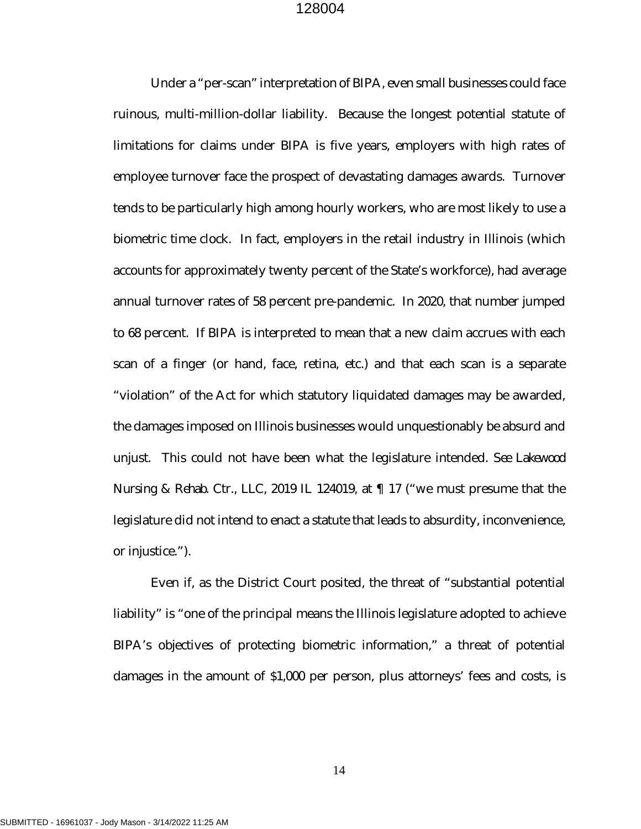Under a "per-scan" interpretation of BIPA, even small businesses could face ruinous, multi-million-dollar liability. Because the longest potential statute of limitations for claims under BIPA is five years, employers with high rates of employee turnover face the prospect of devastating damages awards. Turnover tends to be particularly high among hourly workers, who are most likely to use a biometric time clock. In fact, employers in the retail industry in Illinois (which accounts for approximately twenty percent of the State's workforce), had average annual turnover rates of 58 percent pre-pandemic. In 2020, that number jumped to 68 percent. If BIPA is interpreted to mean that a new claim accrues with each scan of a finger (or hand, face, retina, etc.) and that each scan is a separate "violation" of the Act for which statutory liquidated damages may be awarded, the damages imposed on Illinois businesses would unquestionably be absurd and unjust. This could not have been what the legislature intended. *See Lakewood Nursing & Rehab. Ctr., LLC*, 2019 IL 124019, at ¶ 17 ("we must presume that the legislature did not intend to enact a statute that leads to absurdity, inconvenience, or injustice.").

<span id="page-16-0"></span>Even if, as the District Court posited, the threat of "substantial potential liability" is "one of the principal means the Illinois legislature adopted to achieve BIPA's objectives of protecting biometric information," a threat of potential damages in the amount of \$1,000 per person, plus attorneys' fees and costs, is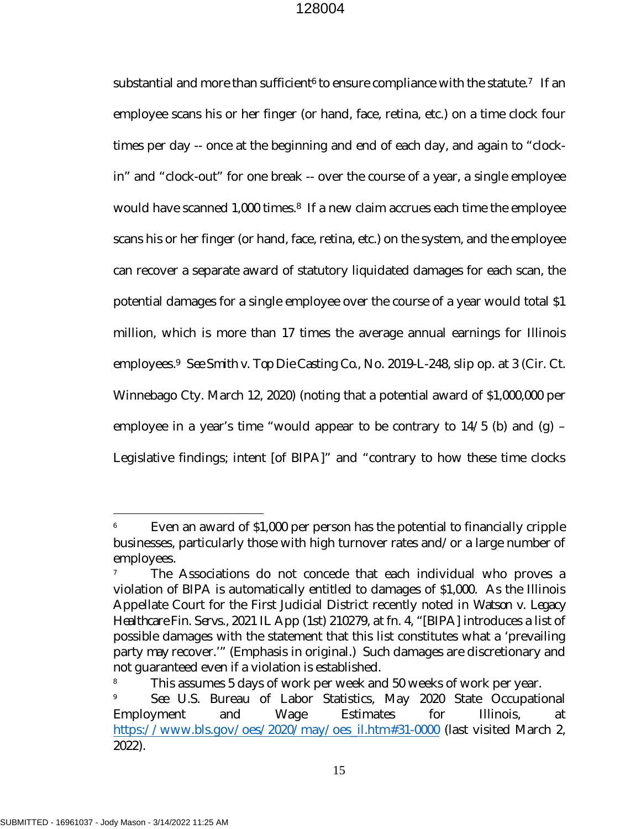substantial and more than sufficient<sup>[6](#page-17-2)</sup> to ensure compliance with the statute.<sup>[7](#page-17-3)</sup> If an employee scans his or her finger (or hand, face, retina, etc.) on a time clock four times per day -- once at the beginning and end of each day, and again to "clockin" and "clock-out" for one break -- over the course of a year, a single employee would have scanned 1,000 times.<sup>[8](#page-17-4)</sup> If a new claim accrues each time the employee scans his or her finger (or hand, face, retina, etc.) on the system, and the employee can recover a separate award of statutory liquidated damages for each scan, the potential damages for a single employee over the course of a year would total \$1 million, which is more than 17 times the average annual earnings for Illinois employees.[9](#page-17-5) *See Smith v. Top Die Casting Co.,* No. 2019-L-248, slip op. at 3 (Cir. Ct. Winnebago Cty. March 12, 2020) (noting that a potential award of \$1,000,000 per employee in a year's time "would appear to be contrary to  $14/5$  (b) and (g) – Legislative findings; intent [of BIPA]" and "contrary to how these time clocks

<span id="page-17-2"></span><span id="page-17-0"></span>Even an award of \$1,000 per person has the potential to financially cripple businesses, particularly those with high turnover rates and/or a large number of employees.

<span id="page-17-3"></span><span id="page-17-1"></span>The Associations do not concede that each individual who proves a violation of BIPA is automatically entitled to damages of \$1,000. As the Illinois Appellate Court for the First Judicial District recently noted in *Watson v. Legacy Healthcare Fin. Servs.,* 2021 IL App (1st) 210279, at fn. 4, "[BIPA] introduces a list of possible damages with the statement that this list constitutes what a 'prevailing party *may* recover.'" (Emphasis in original.) Such damages are discretionary and not guaranteed even if a violation is established.

<span id="page-17-4"></span><sup>&</sup>lt;sup>8</sup> This assumes 5 days of work per week and 50 weeks of work per year.

<span id="page-17-5"></span><sup>9</sup> *See* U.S. Bureau of Labor Statistics, May 2020 State Occupational Employment and Wage Estimates for Illinois, at [https://www.bls.gov/oes/2020/may/oes\\_il.htm#31-0000](https://www.bls.gov/oes/2020/may/oes_il.htm#31-0000) (last visited March 2, 2022).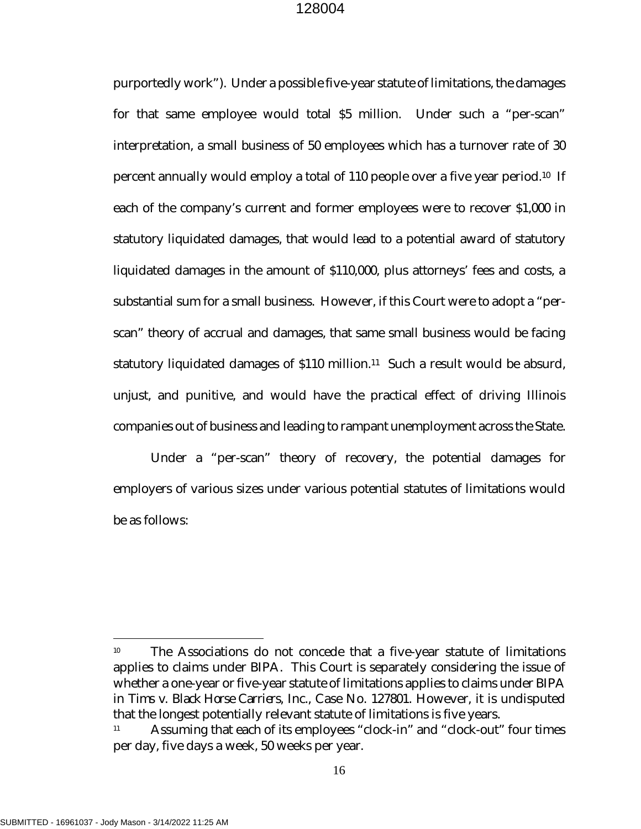purportedly work"). Under a possible five-year statute of limitations, the damages for that same employee would total \$5 million. Under such a "per-scan" interpretation, a small business of 50 employees which has a turnover rate of 30 percent annually would employ a total of 110 people over a five year period.[10](#page-18-0) If each of the company's current and former employees were to recover \$1,000 in statutory liquidated damages, that would lead to a potential award of statutory liquidated damages in the amount of \$110,000, plus attorneys' fees and costs, a substantial sum for a small business. However, if this Court were to adopt a "perscan" theory of accrual and damages, that same small business would be facing statutory liquidated damages of \$[11](#page-18-1)0 million.<sup>11</sup> Such a result would be absurd, unjust, and punitive, and would have the practical effect of driving Illinois companies out of business and leading to rampant unemployment across the State.

Under a "per-scan" theory of recovery, the potential damages for employers of various sizes under various potential statutes of limitations would be as follows:

<span id="page-18-0"></span><sup>&</sup>lt;sup>10</sup> The Associations do not concede that a five-year statute of limitations applies to claims under BIPA. This Court is separately considering the issue of whether a one-year or five-year statute of limitations applies to claims under BIPA in *Tims v. Black Horse Carriers,* Inc., Case No. 127801. However, it is undisputed that the longest potentially relevant statute of limitations is five years.

<span id="page-18-1"></span>Assuming that each of its employees "clock-in" and "clock-out" four times per day, five days a week, 50 weeks per year.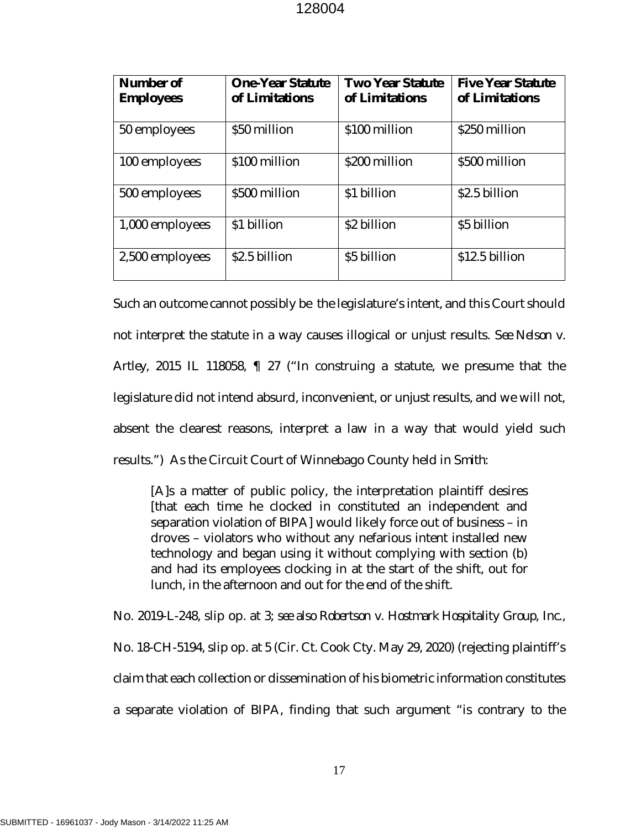| Number of<br><b>Employees</b> | <b>One-Year Statute</b><br>of Limitations | <b>Two Year Statute</b><br>of Limitations | <b>Five Year Statute</b><br>of Limitations |
|-------------------------------|-------------------------------------------|-------------------------------------------|--------------------------------------------|
| 50 employees                  | \$50 million                              | \$100 million                             | \$250 million                              |
| 100 employees                 | \$100 million                             | \$200 million                             | \$500 million                              |
| 500 employees                 | \$500 million                             | \$1 billion                               | \$2.5 billion                              |
| 1,000 employees               | \$1 billion                               | \$2 billion                               | \$5 billion                                |
| 2,500 employees               | \$2.5 billion                             | \$5 billion                               | \$12.5 billion                             |

Such an outcome cannot possibly be the legislature's intent, and this Court should not interpret the statute in a way causes illogical or unjust results. *See Nelson v. Artley*, 2015 IL 118058, ¶ 27 ("In construing a statute, we presume that the legislature did not intend absurd, inconvenient, or unjust results, and we will not, absent the clearest reasons, interpret a law in a way that would yield such results.") As the Circuit Court of Winnebago County held in *Smith*:

<span id="page-19-1"></span><span id="page-19-0"></span>[A]s a matter of public policy, the interpretation plaintiff desires [that each time he clocked in constituted an independent and separation violation of BIPA] would likely force out of business – in droves – violators who without any nefarious intent installed new technology and began using it without complying with section (b) and had its employees clocking in at the start of the shift, out for lunch, in the afternoon and out for the end of the shift.

<span id="page-19-2"></span>No. 2019-L-248, slip op. at 3; *see also Robertson v. Hostmark Hospitality Group, Inc.,*  No. 18-CH-5194, slip op. at 5 (Cir. Ct. Cook Cty. May 29, 2020) (rejecting plaintiff's claim that each collection or dissemination of his biometric information constitutes a separate violation of BIPA, finding that such argument "is contrary to the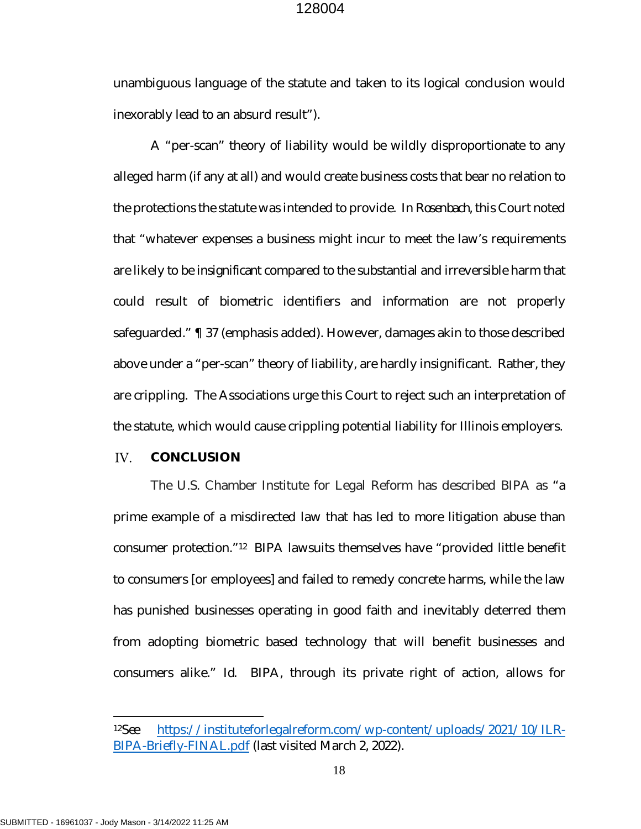unambiguous language of the statute and taken to its logical conclusion would inexorably lead to an absurd result").

A "per-scan" theory of liability would be wildly disproportionate to any alleged harm (if any at all) and would create business costs that bear no relation to the protections the statute was intended to provide. In *Rosenbach,* this Court noted that "whatever expenses a business might incur to meet the law's requirements are likely to be *insignificant* compared to the substantial and irreversible harm that could result of biometric identifiers and information are not properly safeguarded." ¶ 37 (emphasis added). However, damages akin to those described above under a "per-scan" theory of liability, are hardly insignificant. Rather, they are crippling. The Associations urge this Court to reject such an interpretation of the statute, which would cause crippling potential liability for Illinois employers.

#### <span id="page-20-0"></span>IV. **CONCLUSION**

The U.S. Chamber Institute for Legal Reform has described BIPA as "a prime example of a misdirected law that has led to more litigation abuse than consumer protection."[12](#page-20-1) BIPA lawsuits themselves have "provided little benefit to consumers [or employees] and failed to remedy concrete harms, while the law has punished businesses operating in good faith and inevitably deterred them from adopting biometric based technology that will benefit businesses and consumers alike." *Id*. BIPA, through its private right of action, allows for

<span id="page-20-1"></span><sup>12</sup>*See* [https://instituteforlegalreform.com/wp-content/uploads/2021/10/ILR-](https://instituteforlegalreform.com/wp-content/uploads/2021/10/ILR-BIPA-Briefly-FINAL.pdf)[BIPA-Briefly-FINAL.pdf](https://instituteforlegalreform.com/wp-content/uploads/2021/10/ILR-BIPA-Briefly-FINAL.pdf) (last visited March 2, 2022).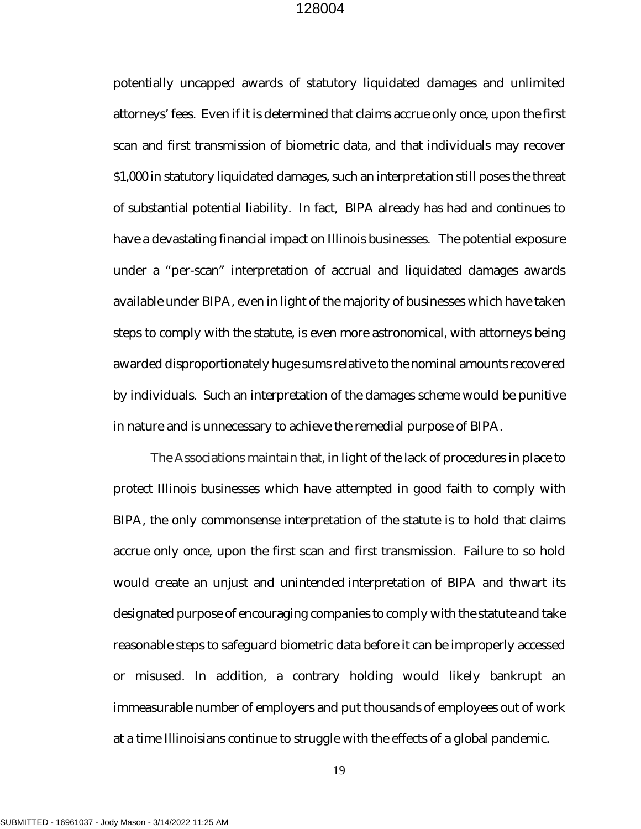potentially uncapped awards of statutory liquidated damages and unlimited attorneys' fees. Even if it is determined that claims accrue only once, upon the first scan and first transmission of biometric data, and that individuals may recover \$1,000 in statutory liquidated damages, such an interpretation still poses the threat of substantial potential liability. In fact, BIPA already has had and continues to have a devastating financial impact on Illinois businesses. The potential exposure under a "per-scan" interpretation of accrual and liquidated damages awards available under BIPA, even in light of the majority of businesses which have taken steps to comply with the statute, is even more astronomical, with attorneys being awarded disproportionately huge sums relative to the nominal amounts recovered by individuals. Such an interpretation of the damages scheme would be punitive in nature and is unnecessary to achieve the remedial purpose of BIPA.

The Associations maintain that, in light of the lack of procedures in place to protect Illinois businesses which have attempted in good faith to comply with BIPA, the only commonsense interpretation of the statute is to hold that claims accrue only once, upon the first scan and first transmission. Failure to so hold would create an unjust and unintended interpretation of BIPA and thwart its designated purpose of encouraging companies to comply with the statute and take reasonable steps to safeguard biometric data before it can be improperly accessed or misused. In addition, a contrary holding would likely bankrupt an immeasurable number of employers and put thousands of employees out of work at a time Illinoisians continue to struggle with the effects of a global pandemic.

19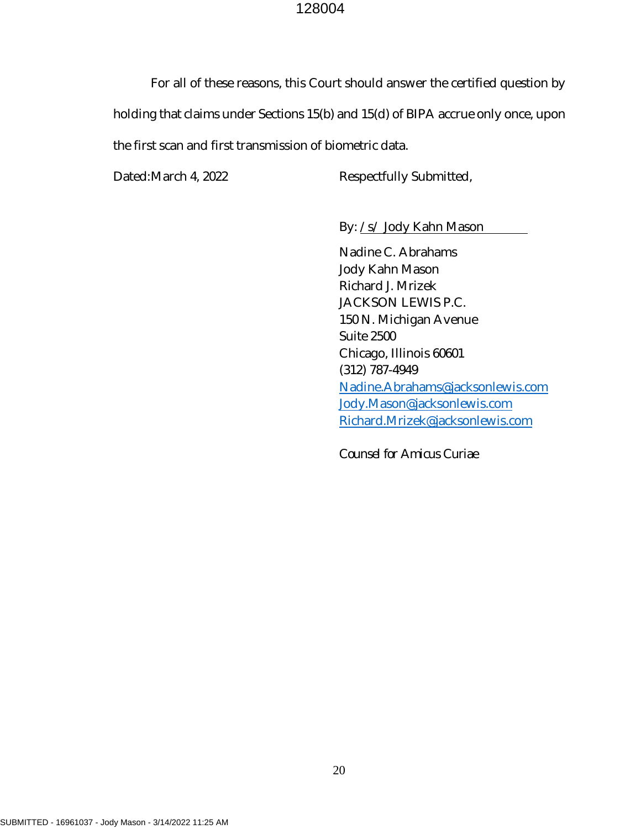For all of these reasons, this Court should answer the certified question by holding that claims under Sections 15(b) and 15(d) of BIPA accrue only once, upon the first scan and first transmission of biometric data.

Dated: March 4, 2022 Respectfully Submitted,

By: /s/ Jody Kahn Mason

Nadine C. Abrahams Jody Kahn Mason Richard J. Mrizek JACKSON LEWIS P.C. 150 N. Michigan Avenue Suite 2500 Chicago, Illinois 60601 (312) 787-4949 [Nadine.Abrahams@jacksonlewis.com](mailto:Nadine.Abrahams@jacksonlewis.com) [Jody.Mason@jacksonlewis.com](mailto:Jody.Mason@jacksonlewis.com) [Richard.Mrizek@jacksonlewis.com](mailto:Richard.Mrizek@jacksonlewis.com)

*Counsel for Amicus Curiae*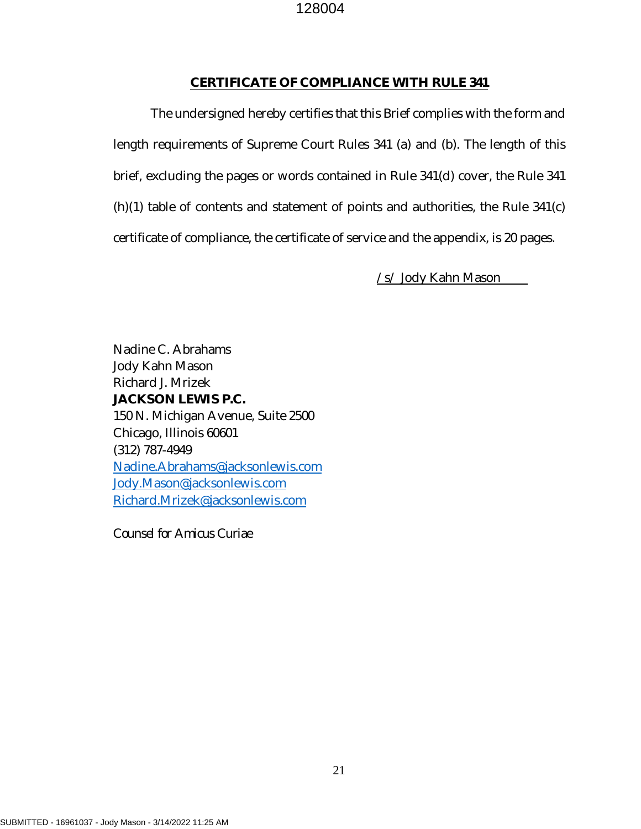### **CERTIFICATE OF COMPLIANCE WITH RULE 341**

The undersigned hereby certifies that this Brief complies with the form and length requirements of Supreme Court Rules 341 (a) and (b). The length of this brief, excluding the pages or words contained in Rule 341(d) cover, the Rule 341 (h)(1) table of contents and statement of points and authorities, the Rule 341(c) certificate of compliance, the certificate of service and the appendix, is 20 pages.

/s/ Jody Kahn Mason

Nadine C. Abrahams Jody Kahn Mason Richard J. Mrizek **JACKSON LEWIS P.C.**  150 N. Michigan Avenue, Suite 2500 Chicago, Illinois 60601 (312) 787-4949 [Nadine.Abrahams@jacksonlewis.com](mailto:Nadine.Abrahams@jacksonlewis.com) [Jody.Mason@jacksonlewis.com](mailto:Jody.Mason@jacksonlewis.com) [Richard.Mrizek@jacksonlewis.com](mailto:Richard.Mrizek@jacksonlewis.com)

*Counsel for Amicus Curiae*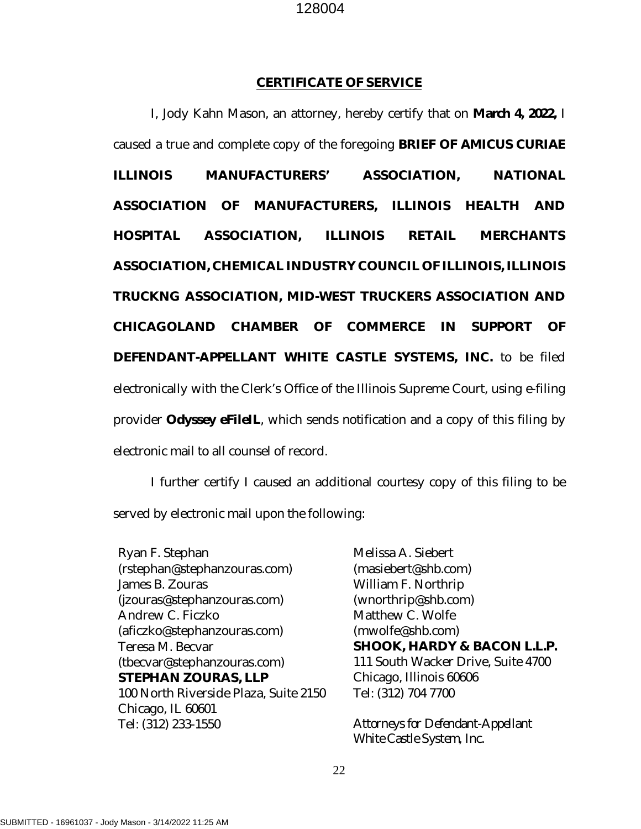#### **CERTIFICATE OF SERVICE**

I, Jody Kahn Mason, an attorney, hereby certify that on **March 4, 2022,** I caused a true and complete copy of the foregoing **BRIEF OF** *AMICUS CURIAE*  **ILLINOIS MANUFACTURERS' ASSOCIATION, NATIONAL ASSOCIATION OF MANUFACTURERS, ILLINOIS HEALTH AND HOSPITAL ASSOCIATION, ILLINOIS RETAIL MERCHANTS ASSOCIATION, CHEMICAL INDUSTRY COUNCIL OF ILLINOIS, ILLINOIS TRUCKNG ASSOCIATION, MID-WEST TRUCKERS ASSOCIATION AND CHICAGOLAND CHAMBER OF COMMERCE IN SUPPORT OF DEFENDANT-APPELLANT WHITE CASTLE SYSTEMS, INC.** to be filed electronically with the Clerk's Office of the Illinois Supreme Court, using e-filing provider **Odyssey eFileIL**, which sends notification and a copy of this filing by electronic mail to all counsel of record.

I further certify I caused an additional courtesy copy of this filing to be served by electronic mail upon the following:

Ryan F. Stephan (rstephan@stephanzouras.com) James B. Zouras (jzouras@stephanzouras.com) Andrew C. Ficzko (aficzko@stephanzouras.com) Teresa M. Becvar (tbecvar@stephanzouras.com) **STEPHAN ZOURAS, LLP**  100 North Riverside Plaza, Suite 2150 Chicago, IL 60601 Tel: (312) 233-1550

Melissa A. Siebert (masiebert@shb.com) William F. Northrip (wnorthrip@shb.com) Matthew C. Wolfe (mwolfe@shb.com) **SHOOK, HARDY & BACON L.L.P.** 111 South Wacker Drive, Suite 4700 Chicago, Illinois 60606 Tel: (312) 704 7700

*Attorneys for Defendant-Appellant White Castle System, Inc.*